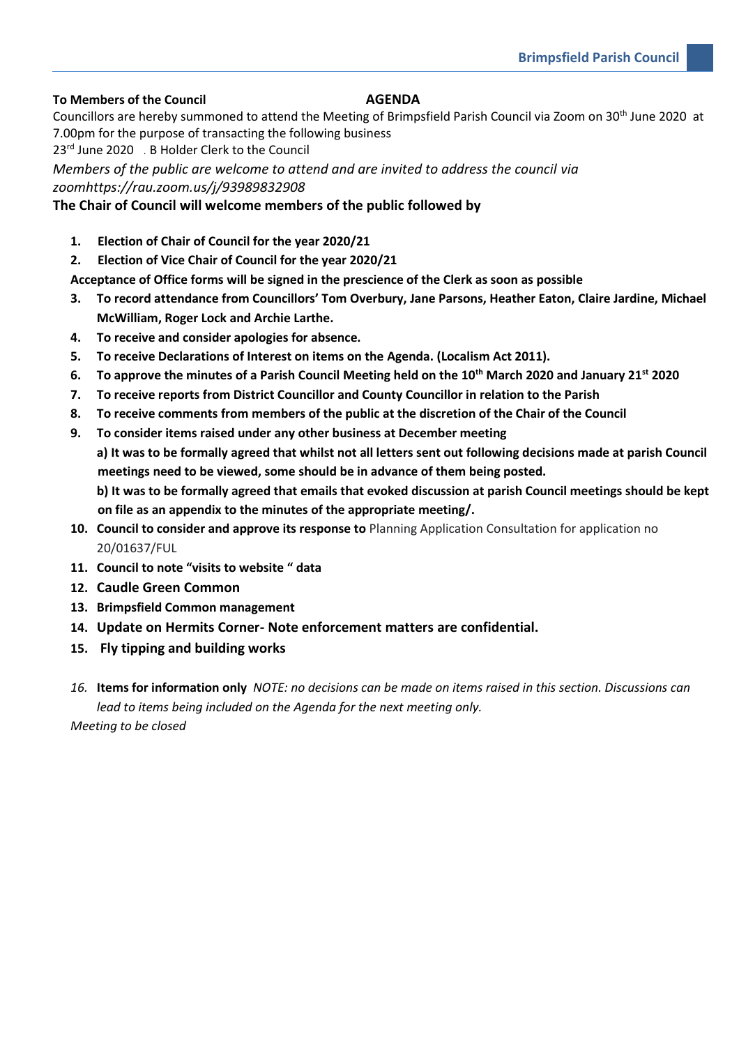## **To Members of the Council AGENDA**

Councillors are hereby summoned to attend the Meeting of Brimpsfield Parish Council via Zoom on 30<sup>th</sup> June 2020 at 7.00pm for the purpose of transacting the following business

23<sup>rd</sup> June 2020 . B Holder Clerk to the Council

*Members of the public are welcome to attend and are invited to address the council via zoomhttps://rau.zoom.us/j/93989832908*

## **The Chair of Council will welcome members of the public followed by**

- **1. Election of Chair of Council for the year 2020/21**
- **2. Election of Vice Chair of Council for the year 2020/21**
- **Acceptance of Office forms will be signed in the prescience of the Clerk as soon as possible**
- **3. To record attendance from Councillors' Tom Overbury, Jane Parsons, Heather Eaton, Claire Jardine, Michael McWilliam, Roger Lock and Archie Larthe.**
- **4. To receive and consider apologies for absence.**
- **5. To receive Declarations of Interest on items on the Agenda. (Localism Act 2011).**
- **6. To approve the minutes of a Parish Council Meeting held on the 10th March 2020 and January 21st 2020**
- **7. To receive reports from District Councillor and County Councillor in relation to the Parish**
- **8. To receive comments from members of the public at the discretion of the Chair of the Council**
- **9. To consider items raised under any other business at December meeting**

**a) It was to be formally agreed that whilst not all letters sent out following decisions made at parish Council meetings need to be viewed, some should be in advance of them being posted.**

**b) It was to be formally agreed that emails that evoked discussion at parish Council meetings should be kept on file as an appendix to the minutes of the appropriate meeting/.**

- **10. Council to consider and approve its response to** Planning Application Consultation for application no 20/01637/FUL
- **11. Council to note "visits to website " data**
- **12. Caudle Green Common**
- **13. Brimpsfield Common management**
- **14. Update on Hermits Corner- Note enforcement matters are confidential.**
- **15. Fly tipping and building works**

*16.* **Items for information only** *NOTE: no decisions can be made on items raised in this section. Discussions can lead to items being included on the Agenda for the next meeting only.*

*Meeting to be closed*